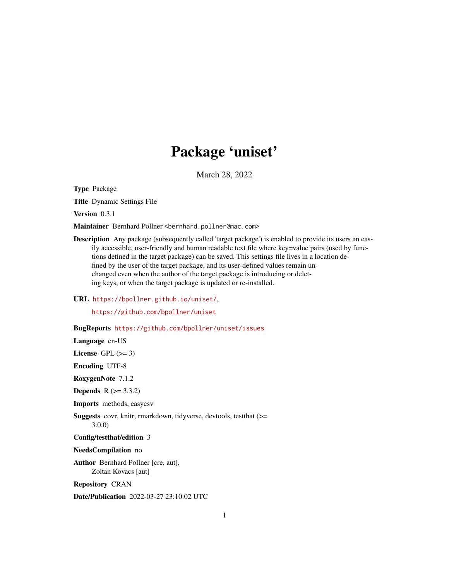## Package 'uniset'

March 28, 2022

Type Package

Title Dynamic Settings File

Version 0.3.1

Maintainer Bernhard Pollner <bernhard.pollner@mac.com>

Description Any package (subsequently called 'target package') is enabled to provide its users an easily accessible, user-friendly and human readable text file where key=value pairs (used by functions defined in the target package) can be saved. This settings file lives in a location defined by the user of the target package, and its user-defined values remain unchanged even when the author of the target package is introducing or deleting keys, or when the target package is updated or re-installed.

URL <https://bpollner.github.io/uniset/>,

<https://github.com/bpollner/uniset>

BugReports <https://github.com/bpollner/uniset/issues>

Language en-US

License GPL  $(>= 3)$ 

Encoding UTF-8

RoxygenNote 7.1.2

**Depends**  $R (= 3.3.2)$ 

Imports methods, easycsv

Suggests covr, knitr, rmarkdown, tidyverse, devtools, testthat (>= 3.0.0)

Config/testthat/edition 3

NeedsCompilation no

Author Bernhard Pollner [cre, aut], Zoltan Kovacs [aut]

Repository CRAN

Date/Publication 2022-03-27 23:10:02 UTC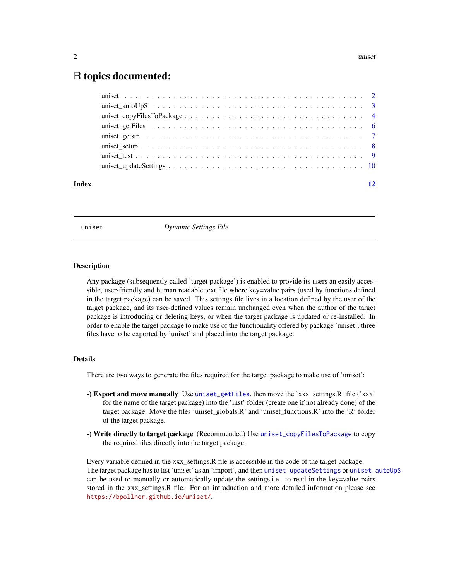#### <span id="page-1-0"></span>2 uniset values of the contract of the contract of the contract of the contract of the contract of the contract of the contract of the contract of the contract of the contract of the contract of the contract of the contrac

### R topics documented:

<span id="page-1-1"></span>

uniset *Dynamic Settings File*

#### Description

Any package (subsequently called 'target package') is enabled to provide its users an easily accessible, user-friendly and human readable text file where key=value pairs (used by functions defined in the target package) can be saved. This settings file lives in a location defined by the user of the target package, and its user-defined values remain unchanged even when the author of the target package is introducing or deleting keys, or when the target package is updated or re-installed. In order to enable the target package to make use of the functionality offered by package 'uniset', three files have to be exported by 'uniset' and placed into the target package.

#### Details

There are two ways to generate the files required for the target package to make use of 'uniset':

- -) Export and move manually Use [uniset\\_getFiles](#page-5-1), then move the 'xxx\_settings.R' file ('xxx' for the name of the target package) into the 'inst' folder (create one if not already done) of the target package. Move the files 'uniset\_globals.R' and 'uniset\_functions.R' into the 'R' folder of the target package.
- -) Write directly to target package (Recommended) Use [uniset\\_copyFilesToPackage](#page-3-1) to copy the required files directly into the target package.

Every variable defined in the xxx\_settings.R file is accessible in the code of the target package. The target package has to list 'uniset' as an 'import', and then [uniset\\_updateSettings](#page-9-1) or [uniset\\_autoUpS](#page-2-1) can be used to manually or automatically update the settings, i.e. to read in the key=value pairs stored in the xxx\_settings.R file. For an introduction and more detailed information please see <https://bpollner.github.io/uniset/>.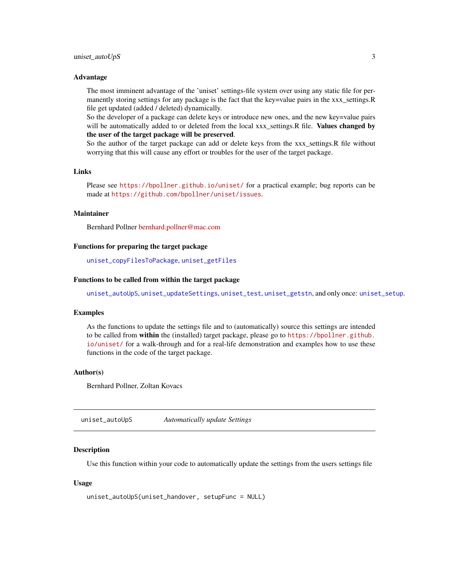#### <span id="page-2-0"></span>Advantage

The most imminent advantage of the 'uniset' settings-file system over using any static file for permanently storing settings for any package is the fact that the key=value pairs in the xxx\_settings.R file get updated (added / deleted) dynamically.

So the developer of a package can delete keys or introduce new ones, and the new key=value pairs will be automatically added to or deleted from the local xxx settings.R file. Values changed by the user of the target package will be preserved.

So the author of the target package can add or delete keys from the xxx\_settings.R file without worrying that this will cause any effort or troubles for the user of the target package.

#### Links

Please see <https://bpollner.github.io/uniset/> for a practical example; bug reports can be made at <https://github.com/bpollner/uniset/issues>.

#### Maintainer

Bernhard Pollner [bernhard.pollner@mac.com](mailto:bernhard.pollner@mac.com)

#### Functions for preparing the target package

[uniset\\_copyFilesToPackage](#page-3-1), [uniset\\_getFiles](#page-5-1)

#### Functions to be called from within the target package

[uniset\\_autoUpS](#page-2-1), [uniset\\_updateSettings](#page-9-1), [uniset\\_test](#page-8-1), [uniset\\_getstn](#page-6-1), and only once: [uniset\\_setup](#page-7-1).

#### Examples

As the functions to update the settings file and to (automatically) source this settings are intended to be called from within the (installed) target package, please go to [https://bpollner.github.](https://bpollner.github.io/uniset/) [io/uniset/](https://bpollner.github.io/uniset/) for a walk-through and for a real-life demonstration and examples how to use these functions in the code of the target package.

#### Author(s)

Bernhard Pollner, Zoltan Kovacs

<span id="page-2-1"></span>uniset\_autoUpS *Automatically update Settings*

#### **Description**

Use this function within your code to automatically update the settings from the users settings file

#### Usage

```
uniset_autoUpS(uniset_handover, setupFunc = NULL)
```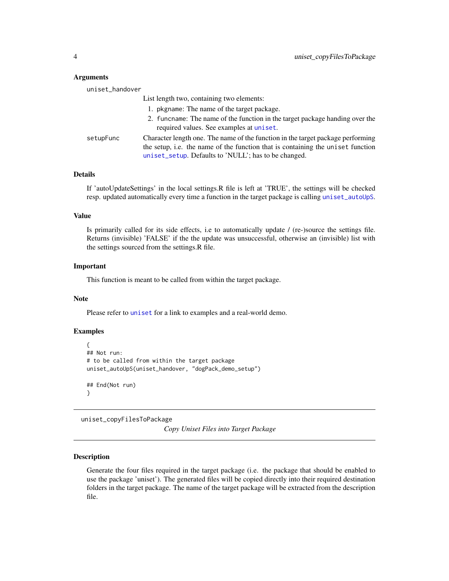#### **Arguments**

| uniset_handover |                                                                                                                                                                                                                            |
|-----------------|----------------------------------------------------------------------------------------------------------------------------------------------------------------------------------------------------------------------------|
|                 | List length two, containing two elements:                                                                                                                                                                                  |
|                 | 1. pkgname: The name of the target package.                                                                                                                                                                                |
|                 | 2. funcname: The name of the function in the target package handing over the<br>required values. See examples at uniset.                                                                                                   |
| setupFunc       | Character length one. The name of the function in the target package performing<br>the setup, i.e. the name of the function that is containing the uniset function<br>uniset_setup. Defaults to 'NULL'; has to be changed. |

#### Details

If 'autoUpdateSettings' in the local settings.R file is left at 'TRUE', the settings will be checked resp. updated automatically every time a function in the target package is calling [uniset\\_autoUpS](#page-2-1).

#### Value

Is primarily called for its side effects, i.e to automatically update / (re-)source the settings file. Returns (invisible) 'FALSE' if the the update was unsuccessful, otherwise an (invisible) list with the settings sourced from the settings.R file.

#### Important

This function is meant to be called from within the target package.

#### Note

Please refer to [uniset](#page-1-1) for a link to examples and a real-world demo.

#### Examples

```
{
## Not run:
# to be called from within the target package
uniset_autoUpS(uniset_handover, "dogPack_demo_setup")
## End(Not run)
}
```
<span id="page-3-1"></span>uniset\_copyFilesToPackage

*Copy Uniset Files into Target Package*

#### **Description**

Generate the four files required in the target package (i.e. the package that should be enabled to use the package 'uniset'). The generated files will be copied directly into their required destination folders in the target package. The name of the target package will be extracted from the description file.

<span id="page-3-0"></span>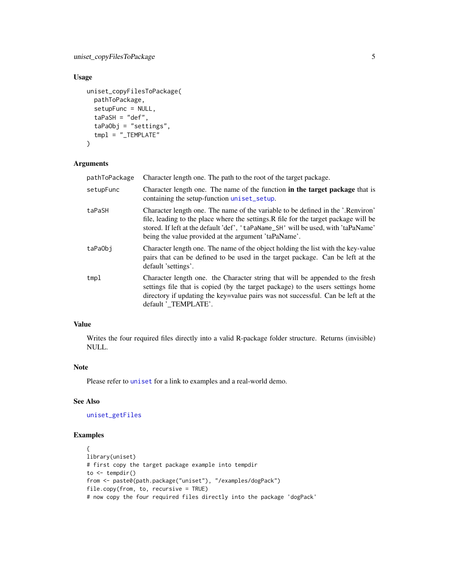#### <span id="page-4-0"></span>Usage

```
uniset_copyFilesToPackage(
  pathToPackage,
  setupFunc = NULL,
  taPaSH = "def",taPaObj = "settings",
  tmp1 = " _TEMPLATE"
)
```
#### Arguments

| pathToPackage | Character length one. The path to the root of the target package.                                                                                                                                                                                                                                                    |
|---------------|----------------------------------------------------------------------------------------------------------------------------------------------------------------------------------------------------------------------------------------------------------------------------------------------------------------------|
| setupFunc     | Character length one. The name of the function in the target package that is<br>containing the setup-function uniset_setup.                                                                                                                                                                                          |
| taPaSH        | Character length one. The name of the variable to be defined in the '.Renviron'<br>file, leading to the place where the settings. R file for the target package will be<br>stored. If left at the default 'def', 'taPaName_SH' will be used, with 'taPaName'<br>being the value provided at the argument 'taPaName'. |
| taPa0bi       | Character length one. The name of the object holding the list with the key-value<br>pairs that can be defined to be used in the target package. Can be left at the<br>default 'settings'.                                                                                                                            |
| tmpl          | Character length one. the Character string that will be appended to the fresh<br>settings file that is copied (by the target package) to the users settings home<br>directory if updating the key=value pairs was not successful. Can be left at the<br>default 'TEMPLATE'.                                          |

#### Value

Writes the four required files directly into a valid R-package folder structure. Returns (invisible) NULL.

#### Note

Please refer to [uniset](#page-1-1) for a link to examples and a real-world demo.

#### See Also

[uniset\\_getFiles](#page-5-1)

#### Examples

```
{
library(uniset)
# first copy the target package example into tempdir
to \leq tempdir()
from <- paste0(path.package("uniset"), "/examples/dogPack")
file.copy(from, to, recursive = TRUE)
# now copy the four required files directly into the package 'dogPack'
```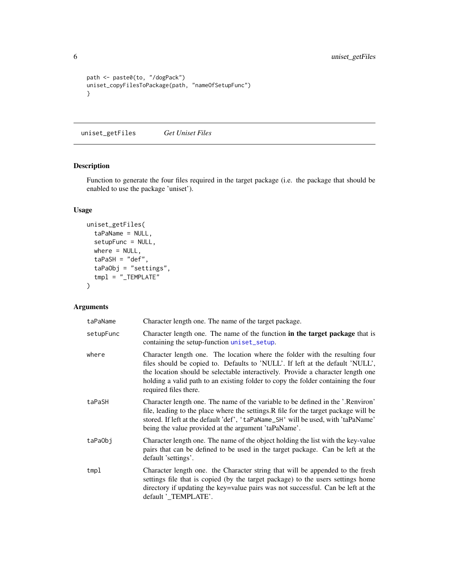```
path <- paste0(to, "/dogPack")
uniset_copyFilesToPackage(path, "nameOfSetupFunc")
}
```
<span id="page-5-1"></span>uniset\_getFiles *Get Uniset Files*

#### Description

Function to generate the four files required in the target package (i.e. the package that should be enabled to use the package 'uniset').

#### Usage

```
uniset_getFiles(
  taPaName = NULL,
  setupFunc = NULL,
  where = NULL,
  taPaSH = "def",
  taPaObj = "settings",
  tmpl = "_TEMPLATE"
)
```
#### Arguments

| taPaName  | Character length one. The name of the target package.                                                                                                                                                                                                                                                                                                         |
|-----------|---------------------------------------------------------------------------------------------------------------------------------------------------------------------------------------------------------------------------------------------------------------------------------------------------------------------------------------------------------------|
| setupFunc | Character length one. The name of the function in the target package that is<br>containing the setup-function uniset_setup.                                                                                                                                                                                                                                   |
| where     | Character length one. The location where the folder with the resulting four<br>files should be copied to. Defaults to 'NULL'. If left at the default 'NULL',<br>the location should be selectable interactively. Provide a character length one<br>holding a valid path to an existing folder to copy the folder containing the four<br>required files there. |
| taPaSH    | Character length one. The name of the variable to be defined in the '.Renviron'<br>file, leading to the place where the settings. R file for the target package will be<br>stored. If left at the default 'def', 'taPaName_SH' will be used, with 'taPaName'<br>being the value provided at the argument 'taPaName'.                                          |
| taPa0bi   | Character length one. The name of the object holding the list with the key-value<br>pairs that can be defined to be used in the target package. Can be left at the<br>default 'settings'.                                                                                                                                                                     |
| tmp1      | Character length one. the Character string that will be appended to the fresh<br>settings file that is copied (by the target package) to the users settings home<br>directory if updating the key=value pairs was not successful. Can be left at the<br>default 'TEMPLATE'.                                                                                   |

<span id="page-5-0"></span>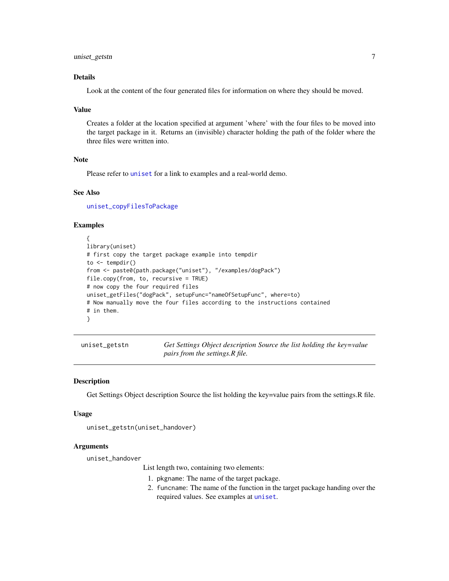#### <span id="page-6-0"></span>uniset\_getstn 7

#### Details

Look at the content of the four generated files for information on where they should be moved.

#### Value

Creates a folder at the location specified at argument 'where' with the four files to be moved into the target package in it. Returns an (invisible) character holding the path of the folder where the three files were written into.

#### Note

Please refer to [uniset](#page-1-1) for a link to examples and a real-world demo.

#### See Also

[uniset\\_copyFilesToPackage](#page-3-1)

#### Examples

```
{
library(uniset)
# first copy the target package example into tempdir
to \leq tempdir()
from <- paste0(path.package("uniset"), "/examples/dogPack")
file.copy(from, to, recursive = TRUE)
# now copy the four required files
uniset_getFiles("dogPack", setupFunc="nameOfSetupFunc", where=to)
# Now manually move the four files according to the instructions contained
# in them.
}
```
<span id="page-6-1"></span>uniset\_getstn *Get Settings Object description Source the list holding the key=value pairs from the settings.R file.*

#### **Description**

Get Settings Object description Source the list holding the key=value pairs from the settings.R file.

#### Usage

```
uniset_getstn(uniset_handover)
```
#### Arguments

uniset\_handover

List length two, containing two elements:

- 1. pkgname: The name of the target package.
- 2. funcname: The name of the function in the target package handing over the required values. See examples at [uniset](#page-1-1).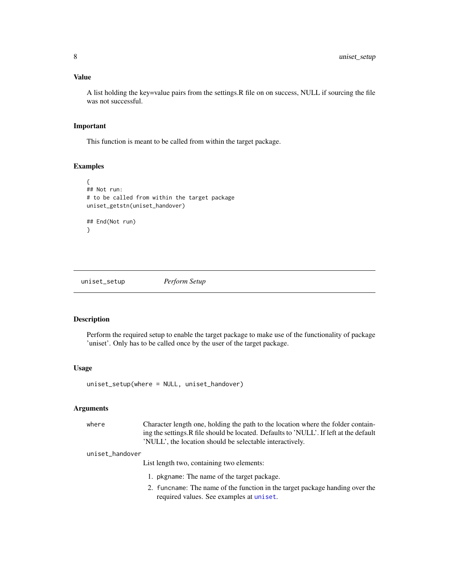#### <span id="page-7-0"></span>Value

A list holding the key=value pairs from the settings.R file on on success, NULL if sourcing the file was not successful.

#### Important

This function is meant to be called from within the target package.

#### **Examples**

```
{
## Not run:
# to be called from within the target package
uniset_getstn(uniset_handover)
## End(Not run)
}
```
<span id="page-7-1"></span>uniset\_setup *Perform Setup*

#### Description

Perform the required setup to enable the target package to make use of the functionality of package 'uniset'. Only has to be called once by the user of the target package.

#### Usage

uniset\_setup(where = NULL, uniset\_handover)

#### Arguments

where Character length one, holding the path to the location where the folder containing the settings.R file should be located. Defaults to 'NULL'. If left at the default 'NULL', the location should be selectable interactively.

#### uniset\_handover

List length two, containing two elements:

- 1. pkgname: The name of the target package.
- 2. funcname: The name of the function in the target package handing over the required values. See examples at [uniset](#page-1-1).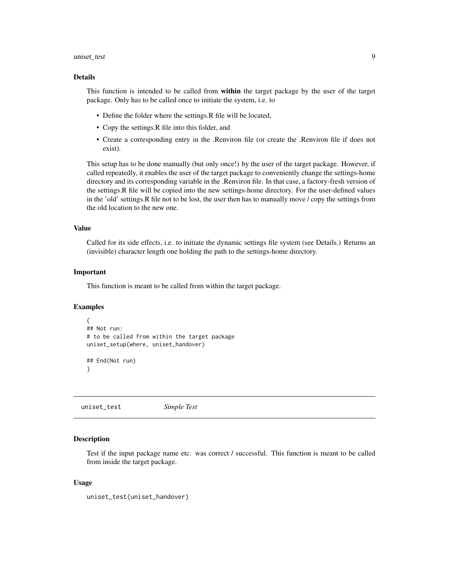#### <span id="page-8-0"></span>uniset\_test 9

#### Details

This function is intended to be called from within the target package by the user of the target package. Only has to be called once to initiate the system, i.e. to

- Define the folder where the settings. R file will be located,
- Copy the settings.R file into this folder, and
- Create a corresponding entry in the .Renviron file (or create the .Renviron file if does not exist).

This setup has to be done manually (but only once!) by the user of the target package. However, if called repeatedly, it enables the user of the target package to conveniently change the settings-home directory and its corresponding variable in the .Renviron file. In that case, a factory-fresh version of the settings.R file will be copied into the new settings-home directory. For the user-defined values in the 'old' settings.R file not to be lost, the user then has to manually move / copy the settings from the old location to the new one.

#### Value

Called for its side effects, i.e. to initiate the dynamic settings file system (see Details.) Returns an (invisible) character length one holding the path to the settings-home directory.

#### Important

This function is meant to be called from within the target package.

#### Examples

```
{
## Not run:
# to be called from within the target package
uniset_setup(where, uniset_handover)
## End(Not run)
}
```
<span id="page-8-1"></span>uniset\_test *Simple Test*

#### Description

Test if the input package name etc. was correct / successful. This function is meant to be called from inside the target package.

#### Usage

```
uniset_test(uniset_handover)
```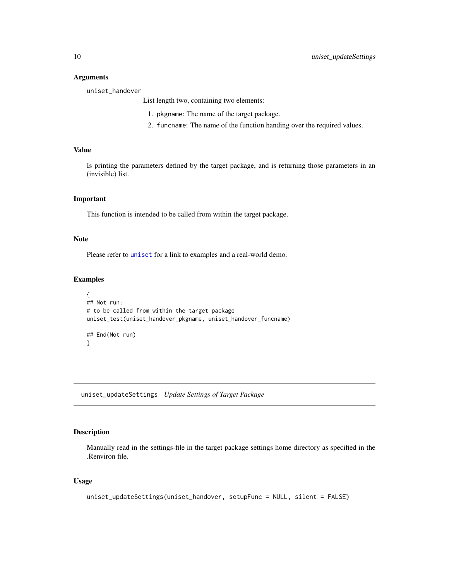#### <span id="page-9-0"></span>**Arguments**

uniset\_handover

List length two, containing two elements:

- 1. pkgname: The name of the target package.
- 2. funcname: The name of the function handing over the required values.

#### Value

Is printing the parameters defined by the target package, and is returning those parameters in an (invisible) list.

#### Important

This function is intended to be called from within the target package.

#### Note

Please refer to [uniset](#page-1-1) for a link to examples and a real-world demo.

#### Examples

```
{
## Not run:
# to be called from within the target package
uniset_test(uniset_handover_pkgname, uniset_handover_funcname)
## End(Not run)
}
```
<span id="page-9-1"></span>uniset\_updateSettings *Update Settings of Target Package*

#### Description

Manually read in the settings-file in the target package settings home directory as specified in the .Renviron file.

#### Usage

```
uniset_updateSettings(uniset_handover, setupFunc = NULL, silent = FALSE)
```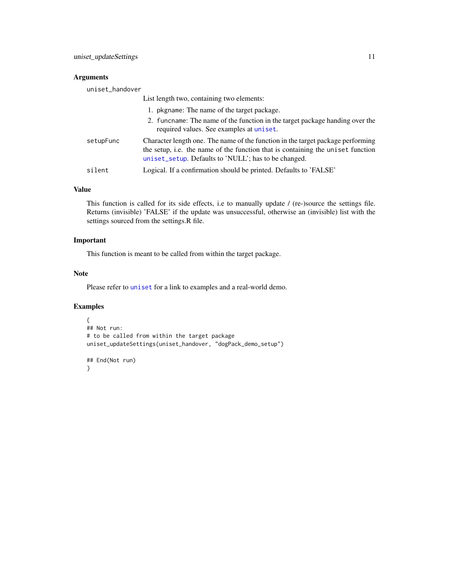#### <span id="page-10-0"></span>Arguments

| uniset_handover |                                                                                                                                                                                                                            |
|-----------------|----------------------------------------------------------------------------------------------------------------------------------------------------------------------------------------------------------------------------|
|                 | List length two, containing two elements:                                                                                                                                                                                  |
|                 | 1. pkgname: The name of the target package.                                                                                                                                                                                |
|                 | 2. funchame: The name of the function in the target package handing over the<br>required values. See examples at uniset.                                                                                                   |
| setupFunc       | Character length one. The name of the function in the target package performing<br>the setup, i.e. the name of the function that is containing the uniset function<br>uniset_setup. Defaults to 'NULL'; has to be changed. |
| silent          | Logical. If a confirmation should be printed. Defaults to 'FALSE'                                                                                                                                                          |

#### Value

This function is called for its side effects, i.e to manually update / (re-)source the settings file. Returns (invisible) 'FALSE' if the update was unsuccessful, otherwise an (invisible) list with the settings sourced from the settings.R file.

#### Important

This function is meant to be called from within the target package.

#### Note

Please refer to [uniset](#page-1-1) for a link to examples and a real-world demo.

#### Examples

```
{
## Not run:
# to be called from within the target package
uniset_updateSettings(uniset_handover, "dogPack_demo_setup")
```

```
## End(Not run)
}
```